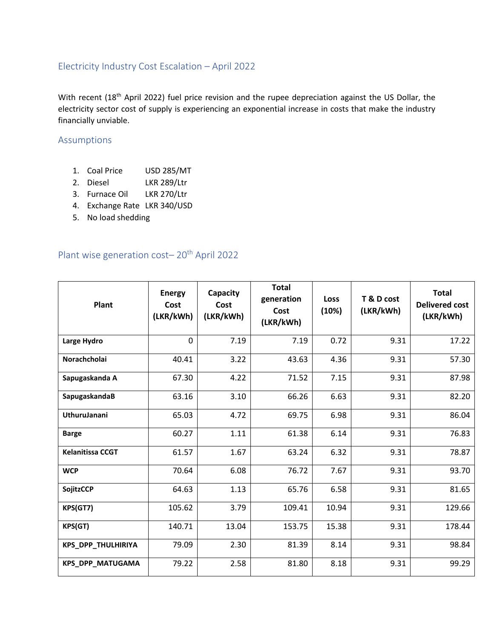## Electricity Industry Cost Escalation – April 2022

With recent (18<sup>th</sup> April 2022) fuel price revision and the rupee depreciation against the US Dollar, the electricity sector cost of supply is experiencing an exponential increase in costs that make the industry financially unviable.

## Assumptions

- 1. Coal Price USD 285/MT
- 2. Diesel LKR 289/Ltr
- 3. Furnace Oil LKR 270/Ltr
- 4. Exchange Rate LKR 340/USD
- 5. No load shedding

## Plant wise generation cost-20<sup>th</sup> April 2022

| Plant                     | <b>Energy</b><br>Cost<br>(LKR/kWh) | Capacity<br>Cost<br>(LKR/kWh) | <b>Total</b><br>generation<br>Cost<br>(LKR/kWh) | Loss<br>(10%) | T & D cost<br>(LKR/kWh) | <b>Total</b><br><b>Delivered cost</b><br>(LKR/kWh) |
|---------------------------|------------------------------------|-------------------------------|-------------------------------------------------|---------------|-------------------------|----------------------------------------------------|
| Large Hydro               | $\mathbf 0$                        | 7.19                          | 7.19                                            | 0.72          | 9.31                    | 17.22                                              |
| Norachcholai              | 40.41                              | 3.22                          | 43.63                                           | 4.36          | 9.31                    | 57.30                                              |
| Sapugaskanda A            | 67.30                              | 4.22                          | 71.52                                           | 7.15          | 9.31                    | 87.98                                              |
| SapugaskandaB             | 63.16                              | 3.10                          | 66.26                                           | 6.63          | 9.31                    | 82.20                                              |
| <b>UthuruJanani</b>       | 65.03                              | 4.72                          | 69.75                                           | 6.98          | 9.31                    | 86.04                                              |
| <b>Barge</b>              | 60.27                              | 1.11                          | 61.38                                           | 6.14          | 9.31                    | 76.83                                              |
| <b>Kelanitissa CCGT</b>   | 61.57                              | 1.67                          | 63.24                                           | 6.32          | 9.31                    | 78.87                                              |
| <b>WCP</b>                | 70.64                              | 6.08                          | 76.72                                           | 7.67          | 9.31                    | 93.70                                              |
| <b>SojitzCCP</b>          | 64.63                              | 1.13                          | 65.76                                           | 6.58          | 9.31                    | 81.65                                              |
| KPS(GT7)                  | 105.62                             | 3.79                          | 109.41                                          | 10.94         | 9.31                    | 129.66                                             |
| KPS(GT)                   | 140.71                             | 13.04                         | 153.75                                          | 15.38         | 9.31                    | 178.44                                             |
| <b>KPS_DPP_THULHIRIYA</b> | 79.09                              | 2.30                          | 81.39                                           | 8.14          | 9.31                    | 98.84                                              |
| <b>KPS_DPP_MATUGAMA</b>   | 79.22                              | 2.58                          | 81.80                                           | 8.18          | 9.31                    | 99.29                                              |